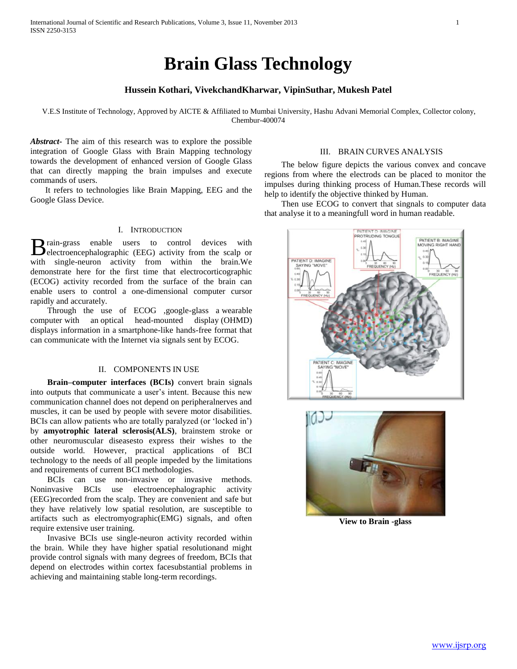# **Brain Glass Technology**

# **Hussein Kothari, VivekchandKharwar, VipinSuthar, Mukesh Patel**

V.E.S Institute of Technology, Approved by AICTE & Affiliated to Mumbai University, Hashu Advani Memorial Complex, Collector colony, Chembur-400074

*Abstract***-** The aim of this research was to explore the possible integration of Google Glass with Brain Mapping technology towards the development of enhanced version of Google Glass that can directly mapping the brain impulses and execute commands of users.

 It refers to technologies like Brain Mapping, EEG and the Google Glass Device.

# I. INTRODUCTION

rain-grass enable users to control devices with **B** rain-grass enable users to control devices with electroencephalographic (EEG) activity from the scalp or with single-neuron activity from within the brain.We demonstrate here for the first time that electrocorticographic (ECOG) activity recorded from the surface of the brain can enable users to control a one-dimensional computer cursor rapidly and accurately.

 Through the use of ECOG ,google-glass a wearable computer with an optical head-mounted display (OHMD) displays information in a smartphone-like hands-free format that can communicate with the Internet via signals sent by ECOG.

# II. COMPONENTS IN USE

 **Brain–computer interfaces (BCIs)** convert brain signals into outputs that communicate a user's intent. Because this new communication channel does not depend on peripheralnerves and muscles, it can be used by people with severe motor disabilities. BCIs can allow patients who are totally paralyzed (or 'locked in') by **amyotrophic lateral sclerosis(ALS)**, brainstem stroke or other neuromuscular diseasesto express their wishes to the outside world. However, practical applications of BCI technology to the needs of all people impeded by the limitations and requirements of current BCI methodologies.

 BCIs can use non-invasive or invasive methods. Noninvasive BCIs use electroencephalographic activity (EEG)recorded from the scalp. They are convenient and safe but they have relatively low spatial resolution, are susceptible to artifacts such as electromyographic(EMG) signals, and often require extensive user training.

 Invasive BCIs use single-neuron activity recorded within the brain. While they have higher spatial resolutionand might provide control signals with many degrees of freedom, BCIs that depend on electrodes within cortex facesubstantial problems in achieving and maintaining stable long-term recordings.

# III. BRAIN CURVES ANALYSIS

 The below figure depicts the various convex and concave regions from where the electrods can be placed to monitor the impulses during thinking process of Human.These records will help to identify the objective thinked by Human.

 Then use ECOG to convert that singnals to computer data that analyse it to a meaningfull word in human readable.





**View to Brain -glass**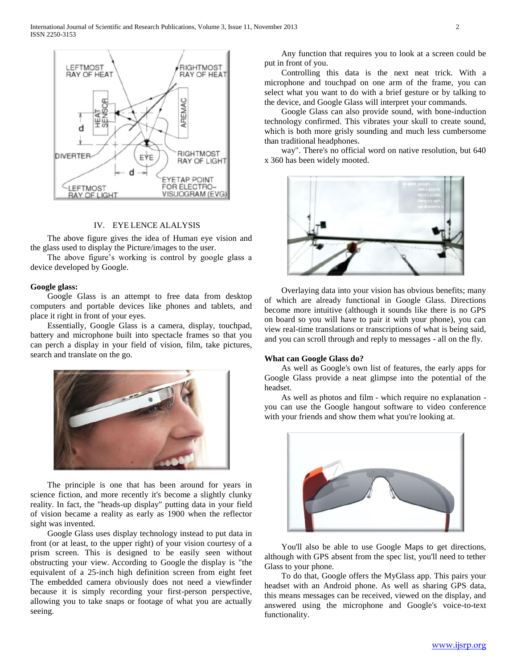

# IV. EYE LENCE ALALYSIS

 The above figure gives the idea of Human eye vision and the glass used to display the Picture/images to the user.

 The above figure's working is control by google glass a device developed by Google.

#### **Google glass:**

 Google Glass is an attempt to free data from desktop computers and portable devices like phones and tablets, and place it right in front of your eyes.

 Essentially, Google Glass is a camera, display, touchpad, battery and microphone built into spectacle frames so that you can perch a display in your field of vision, film, take pictures, search and translate on the go.



 The principle is one that has been around for years in science fiction, and more recently it's become a slightly clunky reality. In fact, the "heads-up display" putting data in your field of vision became a reality as early as 1900 when the reflector sight was invented.

 Google Glass uses display technology instead to put data in front (or at least, to the upper right) of your vision courtesy of a prism screen. This is designed to be easily seen without obstructing your view. According to Google the display is "the equivalent of a 25-inch high definition screen from eight feet The embedded camera obviously does not need a viewfinder because it is simply recording your first-person perspective, allowing you to take snaps or footage of what you are actually seeing.

 Any function that requires you to look at a screen could be put in front of you.

 Controlling this data is the next neat trick. With a microphone and touchpad on one arm of the frame, you can select what you want to do with a brief gesture or by talking to the device, and Google Glass will interpret your commands.

 Google Glass can also provide sound, with bone-induction technology confirmed. This vibrates your skull to create sound, which is both more grisly sounding and much less cumbersome than traditional headphones.

 way". There's no official word on native resolution, but 640 x 360 has been widely mooted.



 Overlaying data into your vision has obvious benefits; many of which are already functional in Google Glass. Directions become more intuitive (although it sounds like there is no GPS on board so you will have to pair it with your phone), you can view real-time translations or transcriptions of what is being said, and you can scroll through and reply to messages - all on the fly.

#### **What can Google Glass do?**

 As well as Google's own list of features, the early apps for Google Glass provide a neat glimpse into the potential of the headset.

 As well as photos and film - which require no explanation you can use the Google hangout software to video conference with your friends and show them what you're looking at.



 You'll also be able to use Google Maps to get directions, although with GPS absent from the spec list, you'll need to tether Glass to your phone.

 To do that, Google offers the MyGlass app. This pairs your headset with an Android phone. As well as sharing GPS data, this means messages can be received, viewed on the display, and answered using the microphone and Google's voice-to-text functionality.